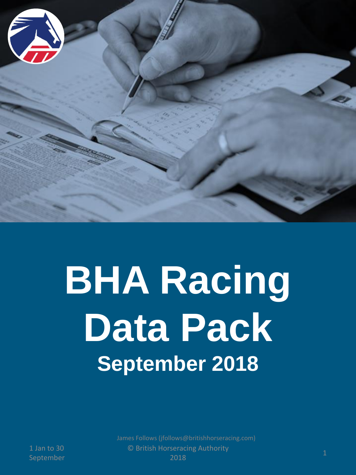

# **BHA Racing Data Pack September 2018**

1 Jan to 30

© British Horseracing Authority 2018 and to be the contract of the contract of the contract of the contract of the contract of the contract of the c<br>September 2018 James Follows (jfollows@britishhorseracing.com)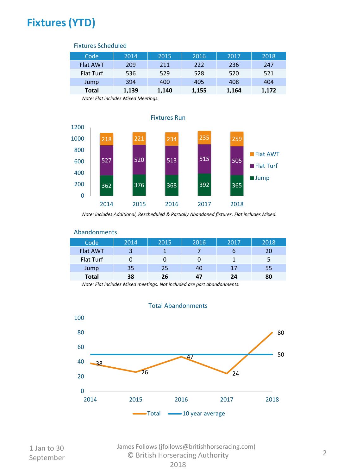# **Fixtures (YTD)**

| , intuito ociliculator |       |       |       |       |       |
|------------------------|-------|-------|-------|-------|-------|
| Code                   | 2014  | 2015  | 2016  | 2017  | 2018  |
| <b>Flat AWT</b>        | 209   | 211   | 222   | 236   | 247   |
| Flat Turf              | 536   | 529   | 528   | 520   | 521   |
| Jump                   | 394   | 400   | 405   | 408   | 404   |
| <b>Total</b>           | 1,139 | 1,140 | 1,155 | 1,164 | 1,172 |

#### Fixtures Scheduled

*Note: Flat includes Mixed Meetings.*



*Note: includes Additional, Rescheduled & Partially Abandoned fixtures. Flat includes Mixed.*



## Abandonments

*Note: Flat includes Mixed meetings. Not included are part abandonments.*



#### Total Abandonments

© British Horseracing Authority September <sup>2</sup> James Follows (jfollows@britishhorseracing.com)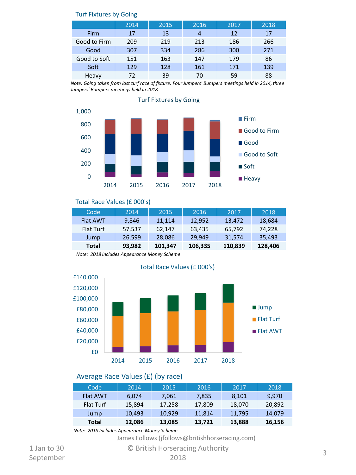| $191111$ $M = 50$ |      |      |      |      |      |
|-------------------|------|------|------|------|------|
|                   | 2014 | 2015 | 2016 | 2017 | 2018 |
| Firm              | 17   | 13   | 4    | 12   | 17   |
| Good to Firm      | 209  | 219  | 213  | 186  | 266  |
| Good              | 307  | 334  | 286  | 300  | 271  |
| Good to Soft      | 151  | 163  | 147  | 179  | 86   |
| Soft              | 129  | 128  | 161  | 171  | 139  |
| Heavy             | 72   | 39   | 70   | 59   | 88   |

#### Turf Fixtures by Going

*Note: Going taken from last turf race of fixture. Four Jumpers' Bumpers meetings held in 2014, three Jumpers' Bumpers meetings held in 2018*



#### Turf Fixtures by Going

#### Total Race Values (£ 000's)

| Code            | 2014   | 2015    | 2016    | 2017    | 2018    |
|-----------------|--------|---------|---------|---------|---------|
| <b>Flat AWT</b> | 9,846  | 11.114  | 12,952  | 13.472  | 18,684  |
| Flat Turf       | 57,537 | 62.147  | 63,435  | 65,792  | 74.228  |
| Jump            | 26,599 | 28,086  | 29.949  | 31.574  | 35,493  |
| Total           | 93,982 | 101,347 | 106,335 | 110,839 | 128,406 |

*Note: 2018 Includes Appearance Money Scheme*



#### Average Race Values (£) (by race)

| Code            | 2014   | 2015   | 2016   | 2017   | 2018   |
|-----------------|--------|--------|--------|--------|--------|
| <b>Flat AWT</b> | 6.074  | 7.061  | 7.835  | 8,101  | 9.970  |
| Flat Turf       | 15.894 | 17,258 | 17.809 | 18,070 | 20.892 |
| Jump            | 10.493 | 10.929 | 11.814 | 11.795 | 14.079 |
| Total           | 12,086 | 13,085 | 13,721 | 13,888 | 16,156 |

*Note: 2018 Includes Appearance Money Scheme*

James Follows (jfollows@britishhorseracing.com)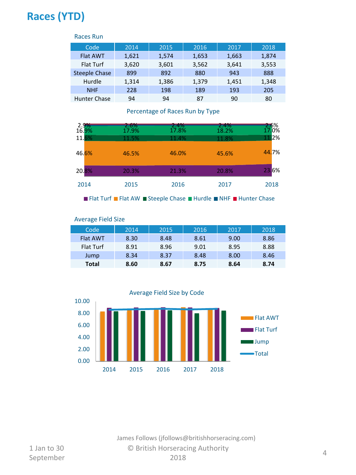# **Races (YTD)**

| Races Run            |       |       |       |       |       |
|----------------------|-------|-------|-------|-------|-------|
| Code                 | 2014  | 2015  | 2016  | 2017  | 2018  |
| <b>Flat AWT</b>      | 1,621 | 1,574 | 1,653 | 1,663 | 1,874 |
| Flat Turf            | 3,620 | 3,601 | 3,562 | 3,641 | 3,553 |
| <b>Steeple Chase</b> | 899   | 892   | 880   | 943   | 888   |
| Hurdle               | 1,314 | 1,386 | 1,379 | 1,451 | 1,348 |
| <b>NHF</b>           | 228   | 198   | 189   | 193   | 205   |
| Hunter Chase         | 94    | 94    | 87    | 90    | 80    |

## **Total 7,776 7,745 7,750 7,981 7,948** Percentage of Races Run by Type

| 2.9%<br>16.9% | 2.6%<br>17.9% | 2.4%<br>17.8% | 2.4%<br>18.2% | 2.6%<br>17.0% |
|---------------|---------------|---------------|---------------|---------------|
| 11.6%         | 11.5%         | 11.4%         | 11.8%         | 11.2%         |
| 46.6%         | 46.5%         | 46.0%         | 45.6%         | 44.7%         |
| 20.8%         | 20.3%         | 21.3%         | 20.8%         | 23.6%         |
| 2014          | 2015          | 2016          | 2017          | 2018          |

■ Flat Turf ■ Flat AW ■ Steeple Chase ■ Hurdle ■ NHF ■ Hunter Chase

| <b>Average Field Size</b> |      |      |      |      |      |  |  |
|---------------------------|------|------|------|------|------|--|--|
| Code                      | 2014 | 2015 | 2016 | 2017 | 2018 |  |  |
| <b>Flat AWT</b>           | 8.30 | 8.48 | 8.61 | 9.00 | 8.86 |  |  |
| Flat Turf                 | 8.91 | 8.96 | 9.01 | 8.95 | 8.88 |  |  |
| Jump                      | 8.34 | 8.37 | 8.48 | 8.00 | 8.46 |  |  |
| <b>Total</b>              | 8.60 | 8.67 | 8.75 | 8.64 | 8.74 |  |  |



© British Horseracing Authority 2018 a start of the september and the september of the september of the september of the september of the september  $2018$ James Follows (jfollows@britishhorseracing.com)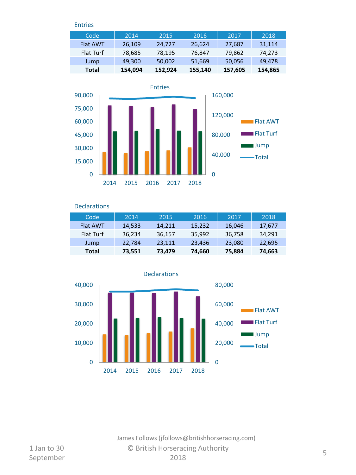Entries

| Code            | 2014    | 2015    | 2016    | 2017    | 2018    |
|-----------------|---------|---------|---------|---------|---------|
| <b>Flat AWT</b> | 26,109  | 24,727  | 26,624  | 27,687  | 31,114  |
| Flat Turf       | 78,685  | 78,195  | 76,847  | 79,862  | 74,273  |
| Jump            | 49,300  | 50,002  | 51,669  | 50,056  | 49,478  |
| Total           | 154,094 | 152,924 | 155,140 | 157,605 | 154,865 |



**Declarations** 

| Code            | 2014   | 2015   | 2016   | 2017   | 2018   |
|-----------------|--------|--------|--------|--------|--------|
| <b>Flat AWT</b> | 14,533 | 14,211 | 15,232 | 16,046 | 17,677 |
| Flat Turf       | 36,234 | 36,157 | 35,992 | 36,758 | 34,291 |
| Jump            | 22,784 | 23,111 | 23,436 | 23,080 | 22,695 |
| Total           | 73,551 | 73,479 | 74,660 | 75,884 | 74,663 |



© British Horseracing Authority 2018 September <sup>5</sup> James Follows (jfollows@britishhorseracing.com)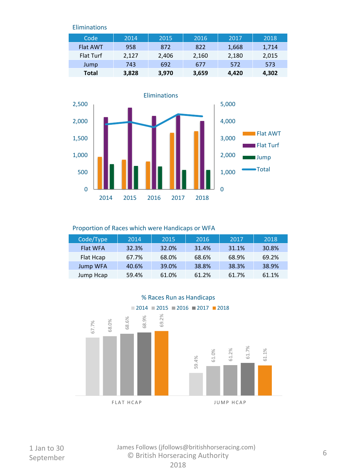Eliminations

| Code            | 2014  | 2015  | 2016  | 2017  | 2018  |
|-----------------|-------|-------|-------|-------|-------|
| <b>Flat AWT</b> | 958   | 872   | 822   | 1,668 | 1,714 |
| Flat Turf       | 2.127 | 2,406 | 2,160 | 2,180 | 2,015 |
| Jump            | 743   | 692   | 677   | 572   | 573   |
| Total           | 3,828 | 3,970 | 3,659 | 4.420 | 4,302 |



#### Proportion of Races which were Handicaps or WFA

| Code/Type       | 2014  | 2015  | 2016  | 2017  | 2018  |
|-----------------|-------|-------|-------|-------|-------|
| <b>Flat WFA</b> | 32.3% | 32.0% | 31.4% | 31.1% | 30.8% |
| Flat Hcap       | 67.7% | 68.0% | 68.6% | 68.9% | 69.2% |
| <b>Jump WFA</b> | 40.6% | 39.0% | 38.8% | 38.3% | 38.9% |
| Jump Hcap       | 59.4% | 61.0% | 61.2% | 61.7% | 61.1% |



1 Jan to 30

© British Horseracing Authority September <sup>6</sup> James Follows (jfollows@britishhorseracing.com)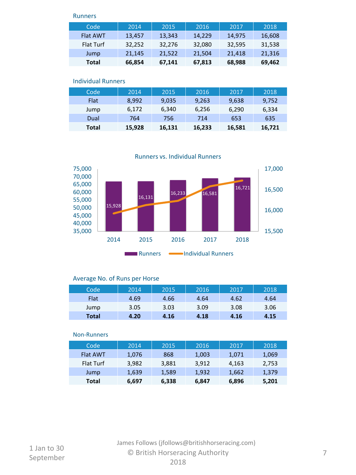#### Runners

| Code             | 2014   | 2015   | 2016   | 2017   | 2018   |
|------------------|--------|--------|--------|--------|--------|
| <b>Flat AWT</b>  | 13,457 | 13,343 | 14,229 | 14,975 | 16,608 |
| <b>Flat Turf</b> | 32,252 | 32,276 | 32,080 | 32,595 | 31,538 |
| Jump             | 21,145 | 21,522 | 21,504 | 21,418 | 21,316 |
| Total            | 66,854 | 67,141 | 67,813 | 68,988 | 69,462 |

#### Individual Runners

| Code         | 2014   | 2015   | 2016   | 2017   | 2018   |
|--------------|--------|--------|--------|--------|--------|
| Flat         | 8.992  | 9,035  | 9,263  | 9,638  | 9,752  |
| Jump         | 6,172  | 6,340  | 6,256  | 6,290  | 6,334  |
| Dual         | 764    | 756    | 714    | 653    | 635    |
| <b>Total</b> | 15,928 | 16,131 | 16,233 | 16,581 | 16,721 |

Runners vs. Individual Runners



#### Average No. of Runs per Horse

| Code         | 2014 | 2015 | 2016 | 2017 | 2018 |
|--------------|------|------|------|------|------|
| Flat         | 4.69 | 4.66 | 4.64 | 4.62 | 4.64 |
| Jump         | 3.05 | 3.03 | 3.09 | 3.08 | 3.06 |
| <b>Total</b> | 4.20 | 4.16 | 4.18 | 4.16 | 4.15 |

#### Non-Runners

| Code            | 2014  | 2015  | 2016  | 2017  | 2018  |
|-----------------|-------|-------|-------|-------|-------|
| <b>Flat AWT</b> | 1,076 | 868   | 1,003 | 1,071 | 1,069 |
| Flat Turf       | 3.982 | 3,881 | 3.912 | 4,163 | 2,753 |
| Jump            | 1,639 | 1,589 | 1,932 | 1,662 | 1,379 |
| Total           | 6,697 | 6,338 | 6,847 | 6,896 | 5,201 |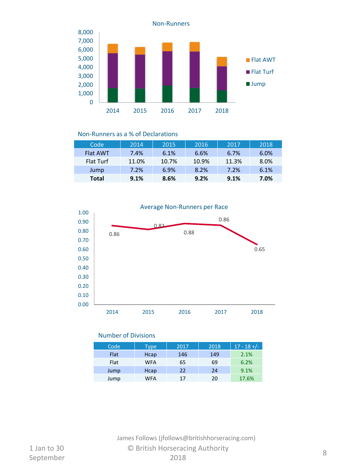

#### Non-Runners as a % of Declarations

| Code            | 2014  | 2015  | 2016  | 2017  | 2018 |
|-----------------|-------|-------|-------|-------|------|
| <b>Flat AWT</b> | 7.4%  | 6.1%  | 6.6%  | 6.7%  | 6.0% |
| Flat Turf       | 11.0% | 10.7% | 10.9% | 11.3% | 8.0% |
| Jump            | 7.2%  | 6.9%  | 8.2%  | 7.2%  | 6.1% |
| Total           | 9.1%  | 8.6%  | 9.2%  | 9.1%  | 7.0% |



#### Number of Divisions

| Code | <b>Type</b> | 2017 | 2018 | $17 - 18 +/-$ |
|------|-------------|------|------|---------------|
| Flat | Hcap        | 146  | 149  | 2.1%          |
| Flat | WFA         | 65   | 69   | 6.2%          |
| Jump | Hcap        | 22   | 24   | 9.1%          |
| Jump | <b>WFA</b>  | 17   | 20   | 17.6%         |

## © British Horseracing Authority  $2018$  and  $\frac{1}{2018}$  and  $\frac{1}{2018}$  and  $\frac{1}{2018}$  and  $\frac{1}{2018}$  and  $\frac{1}{2018}$  and  $\frac{1}{2018}$  and  $\frac{1}{2018}$  and  $\frac{1}{2018}$  and  $\frac{1}{2018}$  and  $\frac{1}{2018}$  and  $\frac{1}{2018}$  and  $\frac{1}{2018}$  and  $\frac{1}{$ James Follows (jfollows@britishhorseracing.com)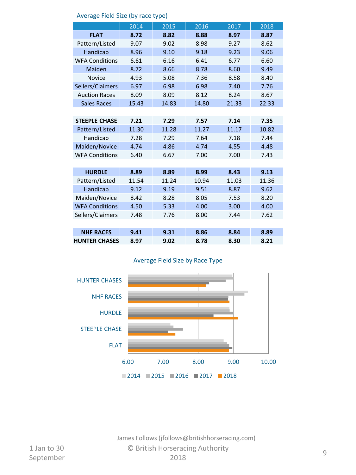|                       | 2014  | 2015  | 2016  | 2017  | 2018  |
|-----------------------|-------|-------|-------|-------|-------|
| <b>FLAT</b>           | 8.72  | 8.82  | 8.88  | 8.97  | 8.87  |
| Pattern/Listed        | 9.07  | 9.02  | 8.98  | 9.27  | 8.62  |
| Handicap              | 8.96  | 9.10  | 9.18  | 9.23  | 9.06  |
| <b>WFA Conditions</b> | 6.61  | 6.16  | 6.41  | 6.77  | 6.60  |
| Maiden                | 8.72  | 8.66  | 8.78  | 8.60  | 9.49  |
| <b>Novice</b>         | 4.93  | 5.08  | 7.36  | 8.58  | 8.40  |
| Sellers/Claimers      | 6.97  | 6.98  | 6.98  | 7.40  | 7.76  |
| <b>Auction Races</b>  | 8.09  | 8.09  | 8.12  | 8.24  | 8.67  |
| <b>Sales Races</b>    | 15.43 | 14.83 | 14.80 | 21.33 | 22.33 |
|                       |       |       |       |       |       |
| <b>STEEPLE CHASE</b>  | 7.21  | 7.29  | 7.57  | 7.14  | 7.35  |
| Pattern/Listed        | 11.30 | 11.28 | 11.27 | 11.17 | 10.82 |
| Handicap              | 7.28  | 7.29  | 7.64  | 7.18  | 7.44  |
| Maiden/Novice         | 4.74  | 4.86  | 4.74  | 4.55  | 4.48  |
| <b>WFA Conditions</b> | 6.40  | 6.67  | 7.00  | 7.00  | 7.43  |
|                       |       |       |       |       |       |
| <b>HURDLE</b>         | 8.89  | 8.89  | 8.99  | 8.43  | 9.13  |
| Pattern/Listed        | 11.54 | 11.24 | 10.94 | 11.03 | 11.36 |
| Handicap              | 9.12  | 9.19  | 9.51  | 8.87  | 9.62  |
| Maiden/Novice         | 8.42  | 8.28  | 8.05  | 7.53  | 8.20  |
| <b>WFA Conditions</b> | 4.50  | 5.33  | 4.00  | 3.00  | 4.00  |
| Sellers/Claimers      | 7.48  | 7.76  | 8.00  | 7.44  | 7.62  |
|                       |       |       |       |       |       |
| <b>NHF RACES</b>      | 9.41  | 9.31  | 8.86  | 8.84  | 8.89  |
| <b>HUNTER CHASES</b>  | 8.97  | 9.02  | 8.78  | 8.30  | 8.21  |

#### Average Field Size (by race type)

### Average Field Size by Race Type



© British Horseracing Authority 2018 example by the contraction of the contraction of the contraction of the contraction of the contraction of the contraction of the contraction of the contraction of the contraction of the contraction of the contraction of th James Follows (jfollows@britishhorseracing.com)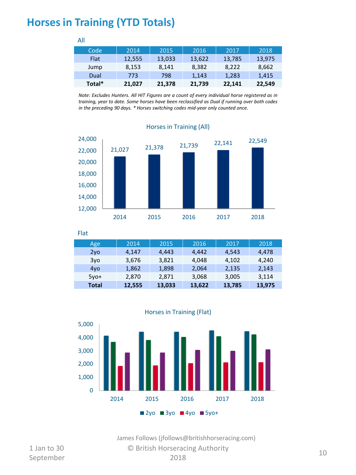## **Horses in Training (YTD Totals)**

| .           |        |        |        |        |        |
|-------------|--------|--------|--------|--------|--------|
| Code        | 2014   | 2015   | 2016   | 2017   | 2018   |
| <b>Flat</b> | 12,555 | 13,033 | 13,622 | 13,785 | 13,975 |
| Jump        | 8,153  | 8.141  | 8,382  | 8.222  | 8,662  |
| Dual        | 773    | 798    | 1.143  | 1,283  | 1,415  |
| Total*      | 21,027 | 21,378 | 21,739 | 22,141 | 22,549 |

All

*Note: Excludes Hunters. All HIT Figures are a count of every individual horse registered as in training, year to date. Some horses have been reclassified as Dual if running over both codes in the preceding 90 days. \* Horses switching codes mid-year only counted once.*



| Flat            |        |        |        |        |        |
|-----------------|--------|--------|--------|--------|--------|
| Age             | 2014   | 2015   | 2016   | 2017   | 2018   |
| 2y <sub>o</sub> | 4.147  | 4,443  | 4,442  | 4,543  | 4,478  |
| 3yo             | 3,676  | 3,821  | 4.048  | 4.102  | 4,240  |
| 4yo             | 1,862  | 1,898  | 2,064  | 2,135  | 2,143  |
| $5vo+$          | 2,870  | 2,871  | 3,068  | 3,005  | 3,114  |
| <b>Total</b>    | 12,555 | 13,033 | 13,622 | 13,785 | 13,975 |



1 Jan to 30

© British Horseracing Authority 2018 September 10<br>September 2018 2018 James Follows (jfollows@britishhorseracing.com)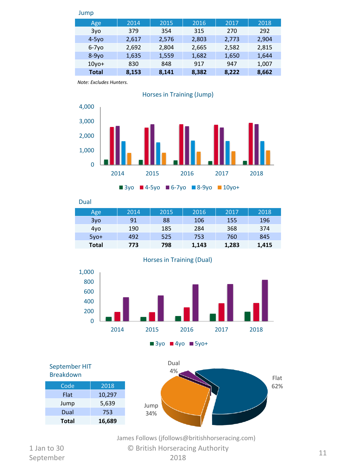| Jump         |       |       |       |       |       |
|--------------|-------|-------|-------|-------|-------|
| Age          | 2014  | 2015  | 2016  | 2017  | 2018  |
| 3vo          | 379   | 354   | 315   | 270   | 292   |
| $4-5y$ o     | 2,617 | 2,576 | 2,803 | 2,773 | 2,904 |
| $6-7y$ o     | 2.692 | 2,804 | 2,665 | 2,582 | 2,815 |
| $8-9vo$      | 1,635 | 1,559 | 1,682 | 1,650 | 1,644 |
| $10$ vo+     | 830   | 848   | 917   | 947   | 1,007 |
| <b>Total</b> | 8,153 | 8,141 | 8,382 | 8,222 | 8,662 |

*Note: Excludes Hunters.*



 $\blacksquare$  3yo  $\blacksquare$  4-5yo  $\blacksquare$  6-7yo  $\blacksquare$  8-9yo  $\blacksquare$  10yo+

Dual

| Age    | 2014 | 2015 | 2016  | 2017  | 2018  |
|--------|------|------|-------|-------|-------|
| 3yo    | 91   | 88   | 106   | 155   | 196   |
| 4yo    | 190  | 185  | 284   | 368   | 374   |
| $5vo+$ | 492  | 525  | 753   | 760   | 845   |
| Total  | 773  | 798  | 1,143 | 1,283 | 1,415 |





September HIT Breakdown Code 2018





James Follows (jfollows@britishhorseracing.com)

© British Horseracing Authority 2018 September 11<br>September 2018 2018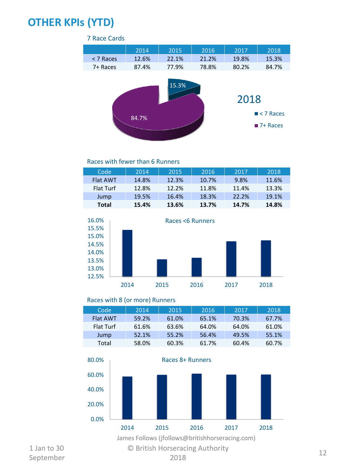# **OTHER KPIs (YTD)**

### 7 Race Cards

|           | 2014  | 2015  | 2016  | 2017  | 2018                                   |
|-----------|-------|-------|-------|-------|----------------------------------------|
| < 7 Races | 12.6% | 22.1% | 21.2% | 19.8% | 15.3%                                  |
| 7+ Races  | 87.4% | 77.9% | 78.8% | 80.2% | 84.7%                                  |
|           | 84.7% | 15.3% |       | 2018  | $\blacksquare$ < 7 Races<br>$7+$ Races |

#### Races with fewer than 6 Runners

| Code            | 2014  | 2015  | 2016  | 2017  | 2018  |
|-----------------|-------|-------|-------|-------|-------|
| <b>Flat AWT</b> | 14.8% | 12.3% | 10.7% | 9.8%  | 11.6% |
| Flat Turf       | 12.8% | 12.2% | 11.8% | 11.4% | 13.3% |
| Jump            | 19.5% | 16.4% | 18.3% | 22.2% | 19.1% |
| Total           | 15.4% | 13.6% | 13.7% | 14.7% | 14.8% |



#### Races with 8 (or more) Runners

| Code            | 2014  | 2015  | 2016  | 2017  | 2018  |
|-----------------|-------|-------|-------|-------|-------|
| <b>Flat AWT</b> | 59.2% | 61.0% | 65.1% | 70.3% | 67.7% |
| Flat Turf       | 61.6% | 63.6% | 64.0% | 64.0% | 61.0% |
| Jump            | 52.1% | 55.2% | 56.4% | 49.5% | 55.1% |
| Total           | 58.0% | 60.3% | 61.7% | 60.4% | 60.7% |

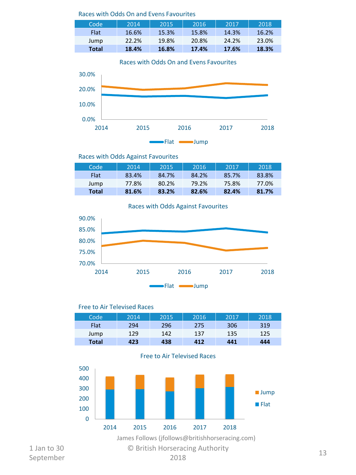#### Races with Odds On and Evens Favourites

| Code         | 2014  | 2015  | 2016  | 2017  | 2018  |
|--------------|-------|-------|-------|-------|-------|
| <b>Flat</b>  | 16.6% | 15.3% | 15.8% | 14.3% | 16.2% |
| Jump         | 22.2% | 19.8% | 20.8% | 24.2% | 23.0% |
| <b>Total</b> | 18.4% | 16.8% | 17.4% | 17.6% | 18.3% |

Races with Odds On and Evens Favourites



Races with Odds Against Favourites

| Code        | 2014  | 2015  | 2016  | 2017  | 2018  |
|-------------|-------|-------|-------|-------|-------|
| <b>Flat</b> | 83.4% | 84.7% | 84.2% | 85.7% | 83.8% |
| Jump        | 77.8% | 80.2% | 79.2% | 75.8% | 77.0% |
| Total       | 81.6% | 83.2% | 82.6% | 82.4% | 81.7% |

Races with Odds Against Favourites



#### Free to Air Televised Races

| Code  | 2014 | 2015 | 2016 | 2017 | 2018 |
|-------|------|------|------|------|------|
| Flat  | 294  | 296  | 275  | 306  | 319  |
| Jump  | 129  | 142  | 137  | 135  | 125  |
| Total | 423  | 438  | 412  | 441  | 444  |



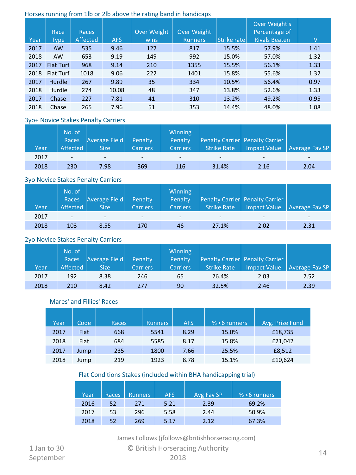#### Horses running from 1lb or 2lb above the rating band in handicaps

|      | Race             | <b>Races</b> |            | Over Weight | Over Weight |             | Over Weight's<br>Percentage of |               |
|------|------------------|--------------|------------|-------------|-------------|-------------|--------------------------------|---------------|
| Year | Type             | Affected     | <b>AFS</b> | wins        | Runners     | Strike rate | <b>Rivals Beaten</b>           | $\mathsf{IV}$ |
| 2017 | <b>AW</b>        | 535          | 9.46       | 127         | 817         | 15.5%       | 57.9%                          | 1.41          |
| 2018 | <b>AW</b>        | 653          | 9.19       | 149         | 992         | 15.0%       | 57.0%                          | 1.32          |
| 2017 | <b>Flat Turf</b> | 968          | 9.14       | 210         | 1355        | 15.5%       | 56.1%                          | 1.33          |
| 2018 | <b>Flat Turf</b> | 1018         | 9.06       | 222         | 1401        | 15.8%       | 55.6%                          | 1.32          |
| 2017 | Hurdle           | 267          | 9.89       | 35          | 334         | 10.5%       | 56.4%                          | 0.97          |
| 2018 | Hurdle           | 274          | 10.08      | 48          | 347         | 13.8%       | 52.6%                          | 1.33          |
| 2017 | Chase            | 227          | 7.81       | 41          | 310         | 13.2%       | 49.2%                          | 0.95          |
| 2018 | Chase            | 265          | 7.96       | 51          | 353         | 14.4%       | 48.0%                          | 1.08          |

#### 3yo+ Novice Stakes Penalty Carriers

| Year | No. of<br>Races<br>Affected | Average Field<br><b>Size</b> | Penalty<br><b>Carriers</b> | Winning<br>Penalty<br><b>Carriers</b> | Strike Rate | Penalty Carrier Penalty Carrier | Impact Value   Average Fav SP |
|------|-----------------------------|------------------------------|----------------------------|---------------------------------------|-------------|---------------------------------|-------------------------------|
| 2017 | $\sim$                      | $\overline{\phantom{0}}$     | $\overline{\phantom{a}}$   |                                       | -           | -                               | -                             |
| 2018 | 230                         | 7.98                         | 369                        | 116                                   | 31.4%       | 2.16                            | 2.04                          |

#### 3yo Novice Stakes Penalty Carriers

|      | No. of<br>Races          | <b>Average Field</b>     | Penalty                  | <b>Winning</b><br>Penalty |                    | Penalty Carrier Penalty Carrier |                               |
|------|--------------------------|--------------------------|--------------------------|---------------------------|--------------------|---------------------------------|-------------------------------|
| Year | Affected                 | <b>Size</b>              | <b>Carriers</b>          | <b>Carriers</b>           | <b>Strike Rate</b> |                                 | Impact Value   Average Fav SP |
| 2017 | $\overline{\phantom{a}}$ | $\overline{\phantom{0}}$ | $\overline{\phantom{a}}$ |                           | -                  |                                 | -                             |
| 2018 | 103                      | 8.55                     | 170                      | 46                        | 27.1%              | 2.02                            | 2.31                          |

#### 2yo Novice Stakes Penalty Carriers

|      | No. of<br>Races | Average Field | Penalty         | <b>Winning</b><br>Penalty |                    | Penalty Carrier Penalty Carrier |                               |
|------|-----------------|---------------|-----------------|---------------------------|--------------------|---------------------------------|-------------------------------|
| Year | Affected        | <b>Size</b>   | <b>Carriers</b> | <b>Carriers</b>           | <b>Strike Rate</b> |                                 | Impact Value   Average Fav SP |
| 2017 | 192             | 8.38          | 246             | 65                        | 26.4%              | 2.03                            | 2.52                          |
| 2018 | 210             | 8.42          | 277             | 90                        | 32.5%              | 2.46                            | 2.39                          |

#### Mares' and Fillies' Races

| Year | Code | Races | <b>Runners</b> | <b>AFS</b> | $% < 6$ runners | Avg. Prize Fund |
|------|------|-------|----------------|------------|-----------------|-----------------|
| 2017 | Flat | 668   | 5541           | 8.29       | 15.0%           | £18,735         |
| 2018 | Flat | 684   | 5585           | 8.17       | 15.8%           | £21,042         |
| 2017 | Jump | 235   | 1800           | 7.66       | 25.5%           | £8,512          |
| 2018 | Jump | 219   | 1923           | 8.78       | 15.1%           | £10,624         |

#### Flat Conditions Stakes (included within BHA handicapping trial)

| Year | <b>Races</b> | <b>Runners</b> | <b>AFS</b> | Avg Fav SP | $% < 6$ runners |
|------|--------------|----------------|------------|------------|-----------------|
| 2016 | 52           | 271            | 5.21       | 2.39       | 69.2%           |
| 2017 | 53           | 296            | 5.58       | 2.44       | 50.9%           |
| 2018 | 52           | 269            | 5.17       | 2.12       | 67.3%           |

James Follows (jfollows@britishhorseracing.com)

© British Horseracing Authority 2018 September 14<br>September 2018 2018